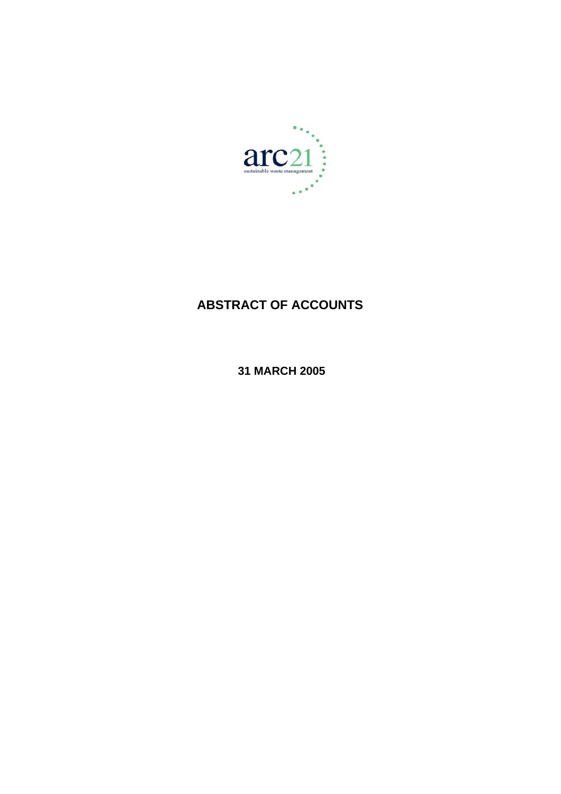

# **ABSTRACT OF ACCOUNTS**

 **31 MARCH 2005**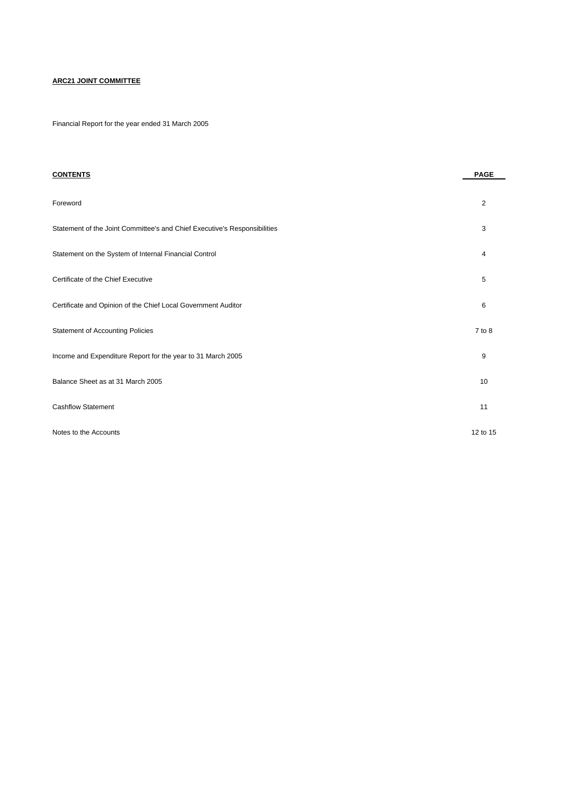# **ARC21 JOINT COMMITTEE**

Financial Report for the year ended 31 March 2005

| <b>CONTENTS</b>                                                           | <b>PAGE</b> |
|---------------------------------------------------------------------------|-------------|
| Foreword                                                                  | 2           |
| Statement of the Joint Committee's and Chief Executive's Responsibilities | 3           |
| Statement on the System of Internal Financial Control                     | 4           |
| Certificate of the Chief Executive                                        | 5           |
| Certificate and Opinion of the Chief Local Government Auditor             | 6           |
| Statement of Accounting Policies                                          | 7 to 8      |
| Income and Expenditure Report for the year to 31 March 2005               | 9           |
| Balance Sheet as at 31 March 2005                                         | 10          |
| <b>Cashflow Statement</b>                                                 | 11          |
| Notes to the Accounts                                                     | 12 to 15    |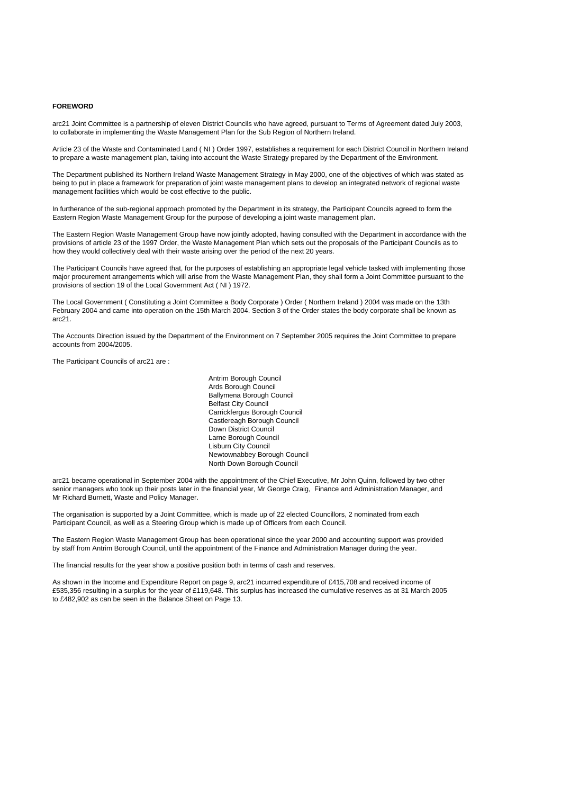#### **FOREWORD**

arc21 Joint Committee is a partnership of eleven District Councils who have agreed, pursuant to Terms of Agreement dated July 2003, to collaborate in implementing the Waste Management Plan for the Sub Region of Northern Ireland.

Article 23 of the Waste and Contaminated Land ( NI ) Order 1997, establishes a requirement for each District Council in Northern Ireland to prepare a waste management plan, taking into account the Waste Strategy prepared by the Department of the Environment.

The Department published its Northern Ireland Waste Management Strategy in May 2000, one of the objectives of which was stated as being to put in place a framework for preparation of joint waste management plans to develop an integrated network of regional waste management facilities which would be cost effective to the public.

In furtherance of the sub-regional approach promoted by the Department in its strategy, the Participant Councils agreed to form the Eastern Region Waste Management Group for the purpose of developing a joint waste management plan.

The Eastern Region Waste Management Group have now jointly adopted, having consulted with the Department in accordance with the provisions of article 23 of the 1997 Order, the Waste Management Plan which sets out the proposals of the Participant Councils as to how they would collectively deal with their waste arising over the period of the next 20 years.

The Participant Councils have agreed that, for the purposes of establishing an appropriate legal vehicle tasked with implementing those major procurement arrangements which will arise from the Waste Management Plan, they shall form a Joint Committee pursuant to the provisions of section 19 of the Local Government Act ( NI ) 1972.

The Local Government ( Constituting a Joint Committee a Body Corporate ) Order ( Northern Ireland ) 2004 was made on the 13th February 2004 and came into operation on the 15th March 2004. Section 3 of the Order states the body corporate shall be known as arc21.

The Accounts Direction issued by the Department of the Environment on 7 September 2005 requires the Joint Committee to prepare accounts from 2004/2005.

The Participant Councils of arc21 are :

Antrim Borough Council Ards Borough Council Ballymena Borough Council Belfast City Council Carrickfergus Borough Council Castlereagh Borough Council Down District Council Larne Borough Council Lisburn City Council Newtownabbey Borough Council North Down Borough Council

arc21 became operational in September 2004 with the appointment of the Chief Executive, Mr John Quinn, followed by two other senior managers who took up their posts later in the financial year, Mr George Craig, Finance and Administration Manager, and Mr Richard Burnett, Waste and Policy Manager.

The organisation is supported by a Joint Committee, which is made up of 22 elected Councillors, 2 nominated from each Participant Council, as well as a Steering Group which is made up of Officers from each Council.

The Eastern Region Waste Management Group has been operational since the year 2000 and accounting support was provided by staff from Antrim Borough Council, until the appointment of the Finance and Administration Manager during the year.

The financial results for the year show a positive position both in terms of cash and reserves.

As shown in the Income and Expenditure Report on page 9, arc21 incurred expenditure of £415,708 and received income of £535,356 resulting in a surplus for the year of £119,648. This surplus has increased the cumulative reserves as at 31 March 2005 to £482,902 as can be seen in the Balance Sheet on Page 13.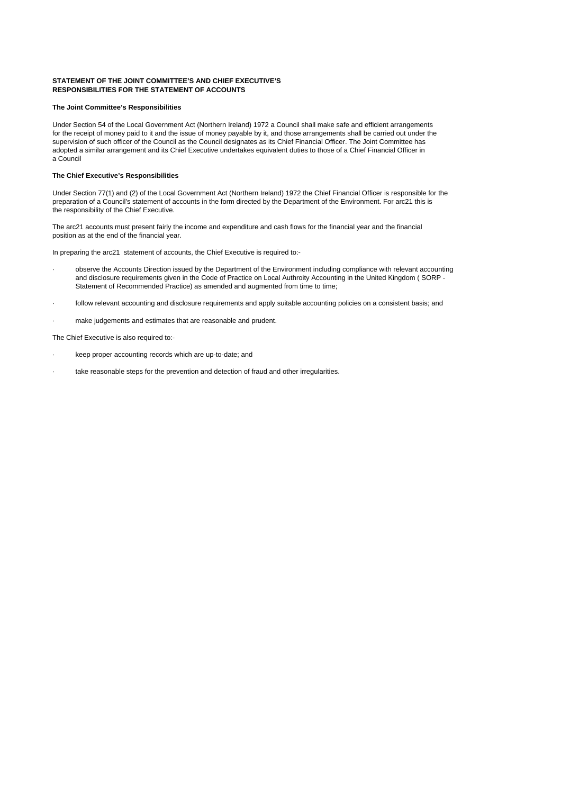#### **STATEMENT OF THE JOINT COMMITTEE'S AND CHIEF EXECUTIVE'S RESPONSIBILITIES FOR THE STATEMENT OF ACCOUNTS**

#### **The Joint Committee's Responsibilities**

Under Section 54 of the Local Government Act (Northern Ireland) 1972 a Council shall make safe and efficient arrangements for the receipt of money paid to it and the issue of money payable by it, and those arrangements shall be carried out under the supervision of such officer of the Council as the Council designates as its Chief Financial Officer. The Joint Committee has adopted a similar arrangement and its Chief Executive undertakes equivalent duties to those of a Chief Financial Officer in a Council

#### **The Chief Executive's Responsibilities**

Under Section 77(1) and (2) of the Local Government Act (Northern Ireland) 1972 the Chief Financial Officer is responsible for the preparation of a Council's statement of accounts in the form directed by the Department of the Environment. For arc21 this is the responsibility of the Chief Executive.

The arc21 accounts must present fairly the income and expenditure and cash flows for the financial year and the financial position as at the end of the financial year.

In preparing the arc21 statement of accounts, the Chief Executive is required to:-

- · observe the Accounts Direction issued by the Department of the Environment including compliance with relevant accounting and disclosure requirements given in the Code of Practice on Local Authroity Accounting in the United Kingdom ( SORP - Statement of Recommended Practice) as amended and augmented from time to time;
- · follow relevant accounting and disclosure requirements and apply suitable accounting policies on a consistent basis; and
- make judgements and estimates that are reasonable and prudent.

The Chief Executive is also required to:-

- keep proper accounting records which are up-to-date; and
- take reasonable steps for the prevention and detection of fraud and other irregularities.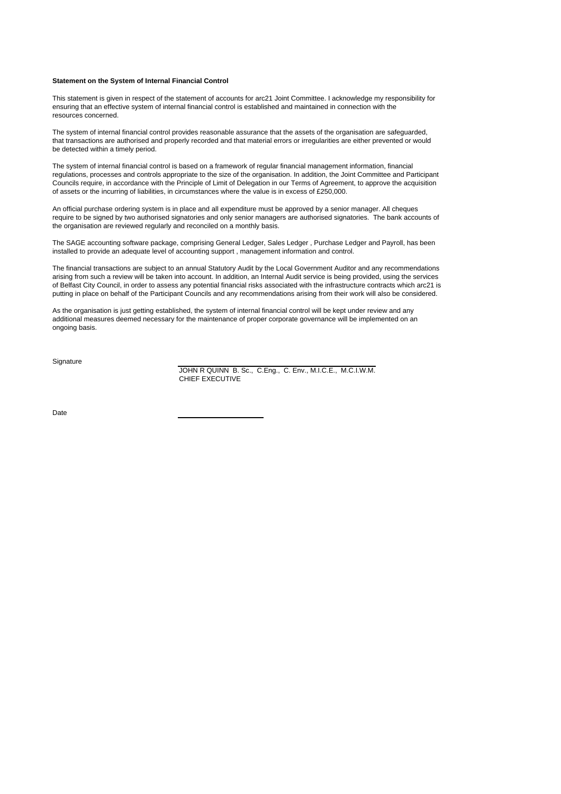#### **Statement on the System of Internal Financial Control**

This statement is given in respect of the statement of accounts for arc21 Joint Committee. I acknowledge my responsibility for ensuring that an effective system of internal financial control is established and maintained in connection with the resources concerned.

The system of internal financial control provides reasonable assurance that the assets of the organisation are safeguarded, that transactions are authorised and properly recorded and that material errors or irregularities are either prevented or would be detected within a timely period.

The system of internal financial control is based on a framework of regular financial management information, financial regulations, processes and controls appropriate to the size of the organisation. In addition, the Joint Committee and Participant Councils require, in accordance with the Principle of Limit of Delegation in our Terms of Agreement, to approve the acquisition of assets or the incurring of liabilities, in circumstances where the value is in excess of £250,000.

An official purchase ordering system is in place and all expenditure must be approved by a senior manager. All cheques require to be signed by two authorised signatories and only senior managers are authorised signatories. The bank accounts of the organisation are reviewed regularly and reconciled on a monthly basis.

The SAGE accounting software package, comprising General Ledger, Sales Ledger , Purchase Ledger and Payroll, has been installed to provide an adequate level of accounting support , management information and control.

The financial transactions are subject to an annual Statutory Audit by the Local Government Auditor and any recommendations arising from such a review will be taken into account. In addition, an Internal Audit service is being provided, using the services of Belfast City Council, in order to assess any potential financial risks associated with the infrastructure contracts which arc21 is putting in place on behalf of the Participant Councils and any recommendations arising from their work will also be considered.

As the organisation is just getting established, the system of internal financial control will be kept under review and any additional measures deemed necessary for the maintenance of proper corporate governance will be implemented on an ongoing basis.

**Signature** 

JOHN R QUINN B. Sc., C.Eng., C. Env., M.I.C.E., M.C.I.W.M. CHIEF EXECUTIVE

Date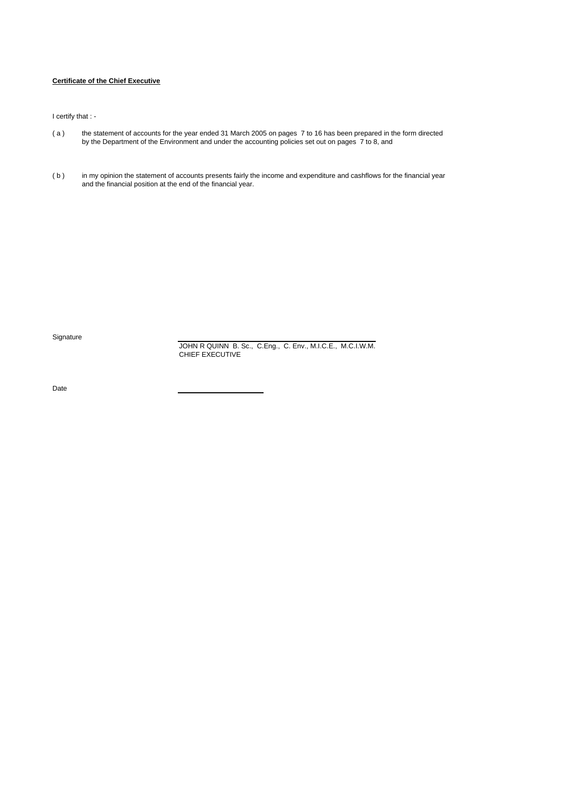# **Certificate of the Chief Executive**

I certify that : -

- ( a ) the statement of accounts for the year ended 31 March 2005 on pages 7 to 16 has been prepared in the form directed by the Department of the Environment and under the accounting policies set out on pages 7 to 8, and
- (b) in my opinion the statement of accounts presents fairly the income and expenditure and cashflows for the financial year and the financial position at the end of the financial year.

**Signature** 

JOHN R QUINN B. Sc., C.Eng., C. Env., M.I.C.E., M.C.I.W.M. CHIEF EXECUTIVE

Date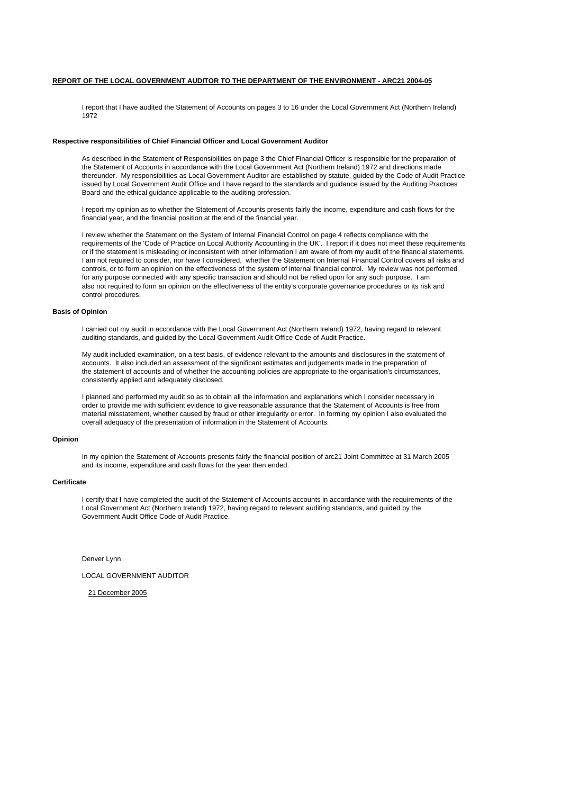# **REPORT OF THE LOCAL GOVERNMENT AUDITOR TO THE DEPARTMENT OF THE ENVIRONMENT - ARC21 2004-05**

I report that I have audited the Statement of Accounts on pages 3 to 16 under the Local Government Act (Northern Ireland) 1972

#### **Respective responsibilities of Chief Financial Officer and Local Government Auditor**

As described in the Statement of Responsibilities on page 3 the Chief Financial Officer is responsible for the preparation of the Statement of Accounts in accordance with the Local Government Act (Northern Ireland) 1972 and directions made thereunder. My responsibilities as Local Government Auditor are established by statute, guided by the Code of Audit Practice issued by Local Government Audit Office and I have regard to the standards and guidance issued by the Auditing Practices Board and the ethical guidance applicable to the auditing profession.

I report my opinion as to whether the Statement of Accounts presents fairly the income, expenditure and cash flows for the financial year, and the financial position at the end of the financial year.

I review whether the Statement on the System of Internal Financial Control on page 4 reflects compliance with the requirements of the 'Code of Practice on Local Authority Accounting in the UK'. I report if it does not meet these requirements or if the statement is misleading or inconsistent with other information I am aware of from my audit of the financial statements. I am not required to consider, nor have I considered, whether the Statement on Internal Financial Control covers all risks and controls, or to form an opinion on the effectiveness of the system of internal financial control. My review was not performed for any purpose connected with any specific transaction and should not be relied upon for any such purpose. I am also not required to form an opinion on the effectiveness of the entity's corporate governance procedures or its risk and control procedures.

#### **Basis of Opinion**

I carried out my audit in accordance with the Local Government Act (Northern Ireland) 1972, having regard to relevant auditing standards, and guided by the Local Government Audit Office Code of Audit Practice.

My audit included examination, on a test basis, of evidence relevant to the amounts and disclosures in the statement of accounts. It also included an assessment of the significant estimates and judgements made in the preparation of the statement of accounts and of whether the accounting policies are appropriate to the organisation's circumstances, consistently applied and adequately disclosed.

I planned and performed my audit so as to obtain all the information and explanations which I consider necessary in order to provide me with sufficient evidence to give reasonable assurance that the Statement of Accounts is free from material misstatement, whether caused by fraud or other irregularity or error. In forming my opinion I also evaluated the overall adequacy of the presentation of information in the Statement of Accounts.

#### **Opinion**

In mv opinion the Statement of Accounts presents fairly the financial position of arc21 Joint Committee at 31 March 2005 and its income, expenditure and cash flows for the year then ended.

#### **Certificate**

I certify that I have completed the audit of the Statement of Accounts accounts in accordance with the requirements of the Local Government Act (Northern Ireland) 1972, having regard to relevant auditing standards, and guided by the Government Audit Office Code of Audit Practice.

Denver Lynn

LOCAL GOVERNMENT AUDITOR

21 December 2005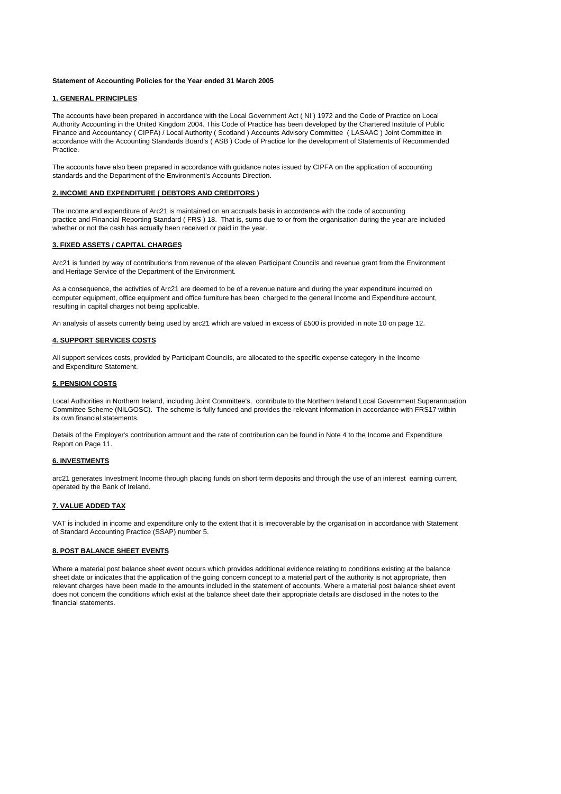#### **Statement of Accounting Policies for the Year ended 31 March 2005**

### **1. GENERAL PRINCIPLES**

The accounts have been prepared in accordance with the Local Government Act ( NI ) 1972 and the Code of Practice on Local Authority Accounting in the United Kingdom 2004. This Code of Practice has been developed by the Chartered Institute of Public Finance and Accountancy ( CIPFA) / Local Authority ( Scotland ) Accounts Advisory Committee ( LASAAC ) Joint Committee in accordance with the Accounting Standards Board's ( ASB ) Code of Practice for the development of Statements of Recommended **Practice** 

The accounts have also been prepared in accordance with guidance notes issued by CIPFA on the application of accounting standards and the Department of the Environment's Accounts Direction.

#### **2. INCOME AND EXPENDITURE ( DEBTORS AND CREDITORS )**

The income and expenditure of Arc21 is maintained on an accruals basis in accordance with the code of accounting practice and Financial Reporting Standard ( FRS ) 18. That is, sums due to or from the organisation during the year are included whether or not the cash has actually been received or paid in the year.

#### **3. FIXED ASSETS / CAPITAL CHARGES**

Arc21 is funded by way of contributions from revenue of the eleven Participant Councils and revenue grant from the Environment and Heritage Service of the Department of the Environment.

As a consequence, the activities of Arc21 are deemed to be of a revenue nature and during the year expenditure incurred on computer equipment, office equipment and office furniture has been charged to the general Income and Expenditure account, resulting in capital charges not being applicable.

An analysis of assets currently being used by arc21 which are valued in excess of £500 is provided in note 10 on page 12.

#### **4. SUPPORT SERVICES COSTS**

All support services costs, provided by Participant Councils, are allocated to the specific expense category in the Income and Expenditure Statement.

#### **5. PENSION COSTS**

Local Authorities in Northern Ireland, including Joint Committee's, contribute to the Northern Ireland Local Government Superannuation Committee Scheme (NILGOSC). The scheme is fully funded and provides the relevant information in accordance with FRS17 within its own financial statements.

Details of the Employer's contribution amount and the rate of contribution can be found in Note 4 to the Income and Expenditure Report on Page 11.

#### **6. INVESTMENTS**

arc21 generates Investment Income through placing funds on short term deposits and through the use of an interest earning current, operated by the Bank of Ireland.

#### **7. VALUE ADDED TAX**

VAT is included in income and expenditure only to the extent that it is irrecoverable by the organisation in accordance with Statement of Standard Accounting Practice (SSAP) number 5.

# **8. POST BALANCE SHEET EVENTS**

Where a material post balance sheet event occurs which provides additional evidence relating to conditions existing at the balance sheet date or indicates that the application of the going concern concept to a material part of the authority is not appropriate, then relevant charges have been made to the amounts included in the statement of accounts. Where a material post balance sheet event does not concern the conditions which exist at the balance sheet date their appropriate details are disclosed in the notes to the financial statements.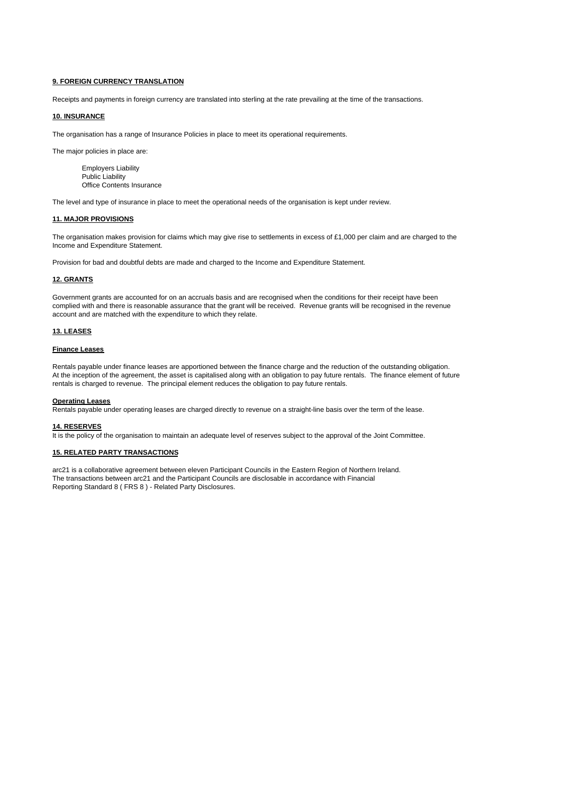#### **9. FOREIGN CURRENCY TRANSLATION**

Receipts and payments in foreign currency are translated into sterling at the rate prevailing at the time of the transactions.

# **10. INSURANCE**

The organisation has a range of Insurance Policies in place to meet its operational requirements.

The major policies in place are:

Employers Liability Public Liability Office Contents Insurance

The level and type of insurance in place to meet the operational needs of the organisation is kept under review.

#### **11. MAJOR PROVISIONS**

The organisation makes provision for claims which may give rise to settlements in excess of £1,000 per claim and are charged to the Income and Expenditure Statement.

Provision for bad and doubtful debts are made and charged to the Income and Expenditure Statement.

#### **12. GRANTS**

Government grants are accounted for on an accruals basis and are recognised when the conditions for their receipt have been complied with and there is reasonable assurance that the grant will be received. Revenue grants will be recognised in the revenue account and are matched with the expenditure to which they relate.

#### **13. LEASES**

#### **Finance Leases**

Rentals payable under finance leases are apportioned between the finance charge and the reduction of the outstanding obligation. At the inception of the agreement, the asset is capitalised along with an obligation to pay future rentals. The finance element of future rentals is charged to revenue. The principal element reduces the obligation to pay future rentals.

#### **Operating Leases**

Rentals payable under operating leases are charged directly to revenue on a straight-line basis over the term of the lease.

# **14. RESERVES**

It is the policy of the organisation to maintain an adequate level of reserves subject to the approval of the Joint Committee.

#### **15. RELATED PARTY TRANSACTIONS**

arc21 is a collaborative agreement between eleven Participant Councils in the Eastern Region of Northern Ireland. The transactions between arc21 and the Participant Councils are disclosable in accordance with Financial Reporting Standard 8 ( FRS 8 ) - Related Party Disclosures.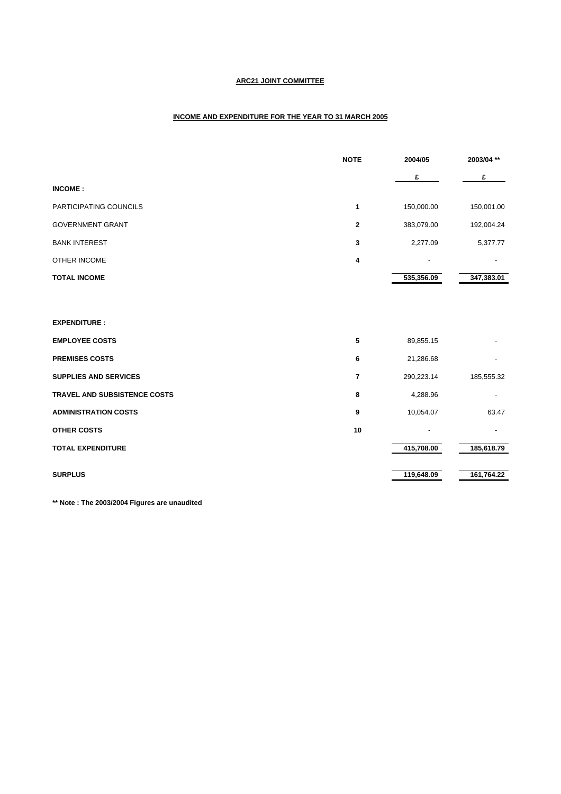# **ARC21 JOINT COMMITTEE**

# **INCOME AND EXPENDITURE FOR THE YEAR TO 31 MARCH 2005**

|                              | <b>NOTE</b> | 2004/05    | 2003/04 ** |
|------------------------------|-------------|------------|------------|
|                              |             | £          | £          |
| <b>INCOME:</b>               |             |            |            |
| PARTICIPATING COUNCILS       | 1           | 150,000.00 | 150,001.00 |
| <b>GOVERNMENT GRANT</b>      | 2           | 383,079.00 | 192,004.24 |
| <b>BANK INTEREST</b>         | 3           | 2,277.09   | 5,377.77   |
| OTHER INCOME                 | 4           |            |            |
| <b>TOTAL INCOME</b>          |             | 535,356.09 | 347,383.01 |
|                              |             |            |            |
| <b>EXPENDITURE:</b>          |             |            |            |
| <b>EMPLOYEE COSTS</b>        | 5           | 89,855.15  |            |
| <b>PREMISES COSTS</b>        | 6           | 21,286.68  |            |
| <b>SUPPLIES AND SERVICES</b> | 7           | 290,223.14 | 185,555.32 |
| TRAVEL AND SUBSISTENCE COSTS | 8           | 4,288.96   |            |
| <b>ADMINISTRATION COSTS</b>  | 9           | 10,054.07  | 63.47      |
| <b>OTHER COSTS</b>           | 10          |            |            |
| <b>TOTAL EXPENDITURE</b>     |             | 415,708.00 | 185,618.79 |
| <b>SURPLUS</b>               |             | 119,648.09 | 161,764.22 |
|                              |             |            |            |

**\*\* Note : The 2003/2004 Figures are unaudited**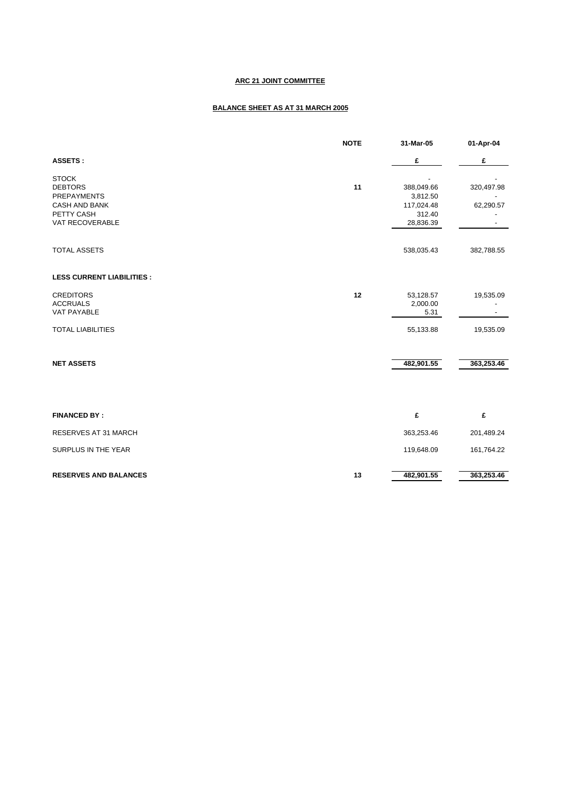# **ARC 21 JOINT COMMITTEE**

# **BALANCE SHEET AS AT 31 MARCH 2005**

|                                                                                     | <b>NOTE</b> | 31-Mar-05                                      | 01-Apr-04               |
|-------------------------------------------------------------------------------------|-------------|------------------------------------------------|-------------------------|
| <b>ASSETS:</b>                                                                      |             | £                                              | £                       |
| <b>STOCK</b><br><b>DEBTORS</b><br><b>PREPAYMENTS</b><br>CASH AND BANK<br>PETTY CASH | 11          | 388,049.66<br>3,812.50<br>117,024.48<br>312.40 | 320,497.98<br>62,290.57 |
| VAT RECOVERABLE                                                                     |             | 28,836.39                                      |                         |
| <b>TOTAL ASSETS</b>                                                                 |             | 538,035.43                                     | 382,788.55              |
| <b>LESS CURRENT LIABILITIES:</b>                                                    |             |                                                |                         |
| <b>CREDITORS</b><br><b>ACCRUALS</b><br>VAT PAYABLE                                  | 12          | 53,128.57<br>2,000.00<br>5.31                  | 19,535.09               |
| <b>TOTAL LIABILITIES</b>                                                            |             | 55,133.88                                      | 19,535.09               |
| <b>NET ASSETS</b>                                                                   |             | 482,901.55                                     | 363,253.46              |
| <b>FINANCED BY:</b>                                                                 |             | £                                              | £                       |
| RESERVES AT 31 MARCH                                                                |             | 363,253.46                                     | 201,489.24              |
| SURPLUS IN THE YEAR                                                                 |             | 119,648.09                                     | 161,764.22              |
| <b>RESERVES AND BALANCES</b>                                                        | 13          | 482,901.55                                     | 363,253.46              |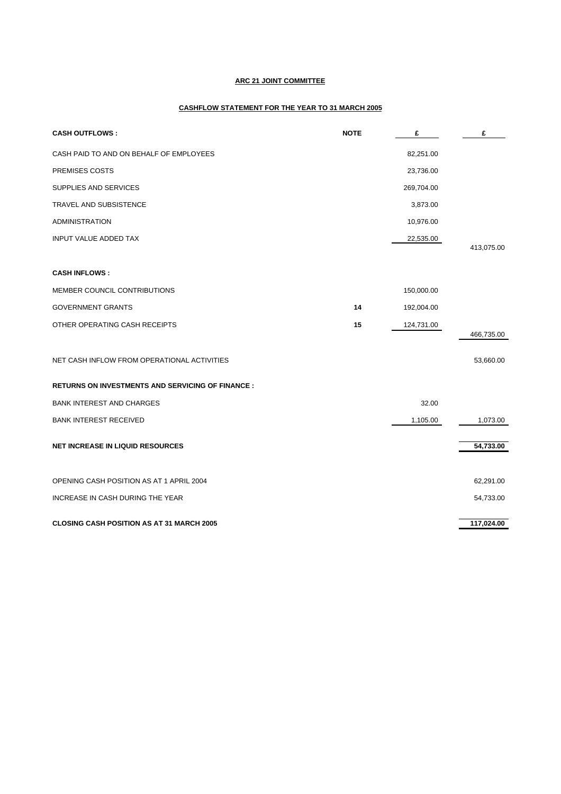# **ARC 21 JOINT COMMITTEE**

# **CASHFLOW STATEMENT FOR THE YEAR TO 31 MARCH 2005**

| <b>CASH OUTFLOWS:</b>                                   | <b>NOTE</b> | £          | £          |
|---------------------------------------------------------|-------------|------------|------------|
| CASH PAID TO AND ON BEHALF OF EMPLOYEES                 |             | 82,251.00  |            |
| PREMISES COSTS                                          |             | 23,736.00  |            |
| SUPPLIES AND SERVICES                                   |             | 269,704.00 |            |
| <b>TRAVEL AND SUBSISTENCE</b>                           |             | 3,873.00   |            |
| <b>ADMINISTRATION</b>                                   |             | 10,976.00  |            |
| <b>INPUT VALUE ADDED TAX</b>                            |             | 22,535.00  | 413,075.00 |
|                                                         |             |            |            |
| <b>CASH INFLOWS:</b>                                    |             |            |            |
| MEMBER COUNCIL CONTRIBUTIONS                            |             | 150,000.00 |            |
| <b>GOVERNMENT GRANTS</b>                                | 14          | 192,004.00 |            |
| OTHER OPERATING CASH RECEIPTS                           | 15          | 124,731.00 |            |
|                                                         |             |            | 466,735.00 |
| NET CASH INFLOW FROM OPERATIONAL ACTIVITIES             |             |            | 53,660.00  |
| <b>RETURNS ON INVESTMENTS AND SERVICING OF FINANCE:</b> |             |            |            |
| <b>BANK INTEREST AND CHARGES</b>                        |             | 32.00      |            |
| <b>BANK INTEREST RECEIVED</b>                           |             | 1,105.00   | 1,073.00   |
| <b>NET INCREASE IN LIQUID RESOURCES</b>                 |             |            | 54,733.00  |
| OPENING CASH POSITION AS AT 1 APRIL 2004                |             |            | 62,291.00  |
| INCREASE IN CASH DURING THE YEAR                        |             |            | 54,733.00  |
| <b>CLOSING CASH POSITION AS AT 31 MARCH 2005</b>        |             |            | 117,024.00 |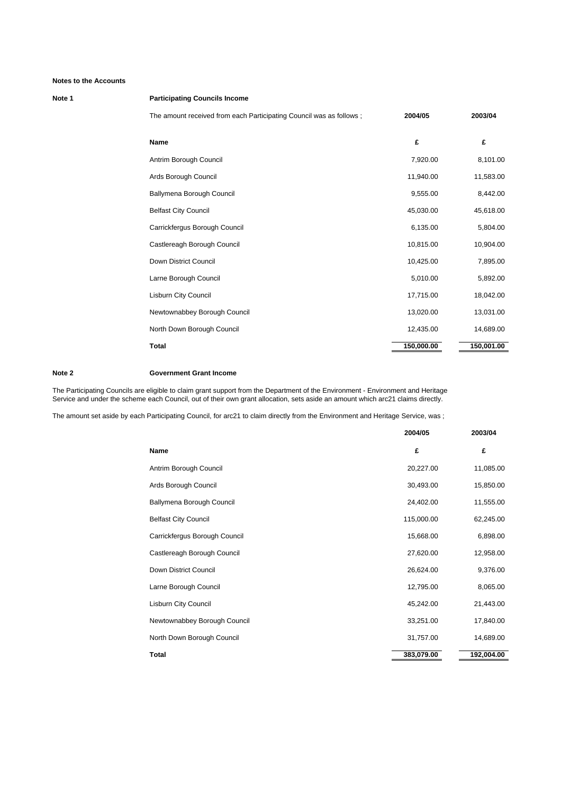### **Note 1 Participating Councils Income**

The amount received from each Participating Council was as follows ; **2004/05 2003/04**

| <b>Name</b>                   | £          | £          |
|-------------------------------|------------|------------|
| Antrim Borough Council        | 7,920.00   | 8,101.00   |
| Ards Borough Council          | 11,940.00  | 11,583.00  |
| Ballymena Borough Council     | 9,555.00   | 8,442.00   |
| <b>Belfast City Council</b>   | 45,030.00  | 45,618.00  |
| Carrickfergus Borough Council | 6,135.00   | 5,804.00   |
| Castlereagh Borough Council   | 10,815.00  | 10,904.00  |
| Down District Council         | 10,425.00  | 7,895.00   |
| Larne Borough Council         | 5,010.00   | 5,892.00   |
| <b>Lisburn City Council</b>   | 17,715.00  | 18,042.00  |
| Newtownabbey Borough Council  | 13,020.00  | 13,031.00  |
| North Down Borough Council    | 12,435.00  | 14,689.00  |
| <b>Total</b>                  | 150,000.00 | 150,001.00 |

#### **Note 2 Government Grant Income**

The Participating Councils are eligible to claim grant support from the Department of the Environment - Environment and Heritage Service and under the scheme each Council, out of their own grant allocation, sets aside an amount which arc21 claims directly.

The amount set aside by each Participating Council, for arc21 to claim directly from the Environment and Heritage Service, was ;

|                               | 2004/05    | 2003/04    |
|-------------------------------|------------|------------|
| <b>Name</b>                   | £          | £          |
| Antrim Borough Council        | 20,227.00  | 11,085.00  |
| Ards Borough Council          | 30,493.00  | 15,850.00  |
| Ballymena Borough Council     | 24,402.00  | 11,555.00  |
| <b>Belfast City Council</b>   | 115,000.00 | 62,245.00  |
| Carrickfergus Borough Council | 15,668.00  | 6,898.00   |
| Castlereagh Borough Council   | 27,620.00  | 12,958.00  |
| Down District Council         | 26,624.00  | 9,376.00   |
| Larne Borough Council         | 12,795.00  | 8,065.00   |
| <b>Lisburn City Council</b>   | 45,242.00  | 21,443.00  |
| Newtownabbey Borough Council  | 33,251.00  | 17,840.00  |
| North Down Borough Council    | 31,757.00  | 14,689.00  |
| <b>Total</b>                  | 383,079.00 | 192,004.00 |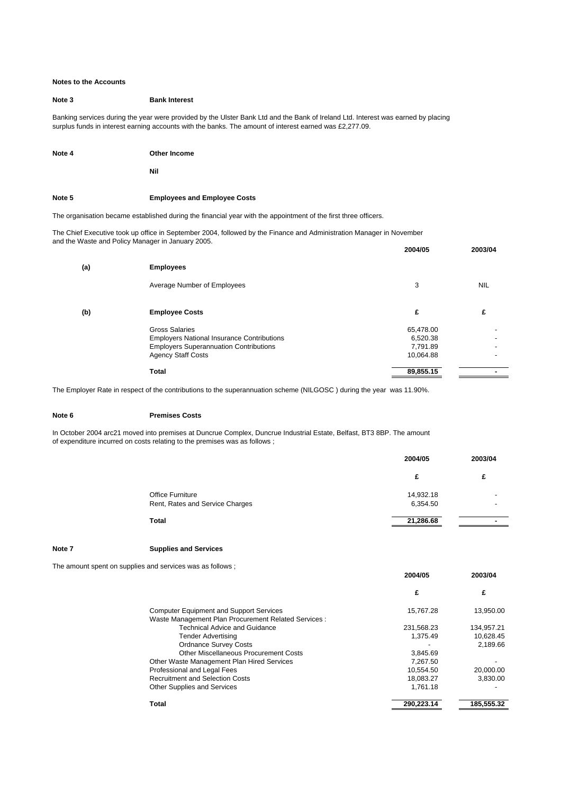#### **Note 3 Bank Interest**

Banking services during the year were provided by the Ulster Bank Ltd and the Bank of Ireland Ltd. Interest was earned by placing surplus funds in interest earning accounts with the banks. The amount of interest earned was £2,277.09.

**Note 4 Other Income**

**Nil**

**Note 5 Employees and Employee Costs**

The organisation became established during the financial year with the appointment of the first three officers.

The Chief Executive took up office in September 2004, followed by the Finance and Administration Manager in November and the Waste and Policy Manager in January 2005.

|     |                                                   | 2004/05   | 2003/04                  |
|-----|---------------------------------------------------|-----------|--------------------------|
| (a) | <b>Employees</b>                                  |           |                          |
|     | Average Number of Employees                       | 3         | <b>NIL</b>               |
| (b) | <b>Employee Costs</b>                             | £         | £                        |
|     | <b>Gross Salaries</b>                             | 65,478.00 |                          |
|     | <b>Employers National Insurance Contributions</b> | 6,520.38  | $\overline{\phantom{a}}$ |
|     | <b>Employers Superannuation Contributions</b>     | 7,791.89  |                          |
|     | <b>Agency Staff Costs</b>                         | 10,064.88 | $\overline{\phantom{a}}$ |
|     | <b>Total</b>                                      | 89,855.15 |                          |

The Employer Rate in respect of the contributions to the superannuation scheme (NILGOSC ) during the year was 11.90%.

#### **Note 6 Premises Costs**

In October 2004 arc21 moved into premises at Duncrue Complex, Duncrue Industrial Estate, Belfast, BT3 8BP. The amount of expenditure incurred on costs relating to the premises was as follows ;

| 2004/05   | 2003/04                  |
|-----------|--------------------------|
| £         | £                        |
| 14,932.18 |                          |
| 6,354.50  | $\overline{\phantom{0}}$ |
| 21,286.68 |                          |
|           |                          |

**2004/05 2003/04**

**Note 7 Supplies and Services**

The amount spent on supplies and services was as follows ;

|                                                      | £          | £          |
|------------------------------------------------------|------------|------------|
| <b>Computer Equipment and Support Services</b>       | 15,767.28  | 13,950.00  |
| Waste Management Plan Procurement Related Services : |            |            |
| <b>Technical Advice and Guidance</b>                 | 231,568.23 | 134,957.21 |
| Tender Advertising                                   | 1.375.49   | 10,628.45  |
| <b>Ordnance Survey Costs</b>                         |            | 2,189.66   |
| Other Miscellaneous Procurement Costs                | 3.845.69   |            |
| Other Waste Management Plan Hired Services           | 7.267.50   |            |
| Professional and Legal Fees                          | 10.554.50  | 20.000.00  |
| <b>Recruitment and Selection Costs</b>               | 18,083.27  | 3.830.00   |
| <b>Other Supplies and Services</b>                   | 1.761.18   |            |
| Total                                                | 290.223.14 | 185,555.32 |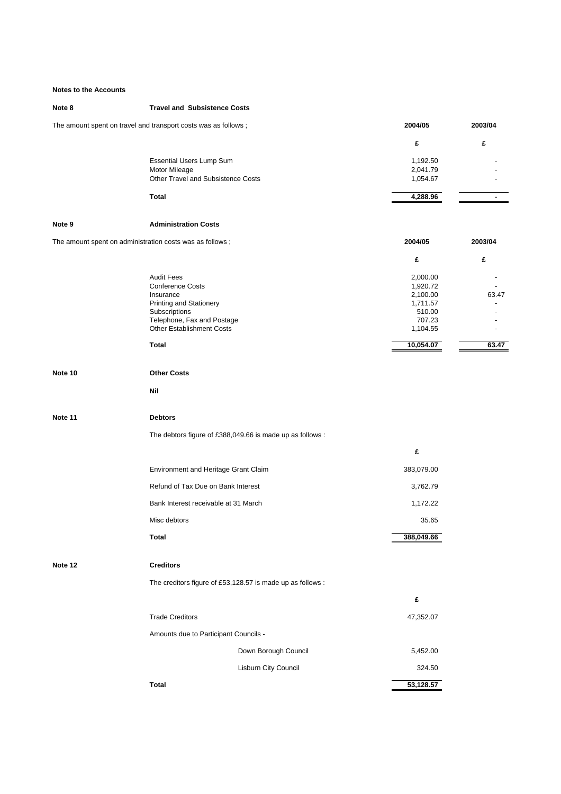# **Note 8 Travel and Subsistence Costs**

| The amount spent on travel and transport costs was as follows : | 2004/05 | 2003/04 |
|-----------------------------------------------------------------|---------|---------|
|-----------------------------------------------------------------|---------|---------|

| <b>Essential Users Lump Sum</b>    | 1,192.50 | $\overline{\phantom{0}}$ |
|------------------------------------|----------|--------------------------|
| Motor Mileage                      | 2,041.79 |                          |
| Other Travel and Subsistence Costs | 1,054.67 |                          |
| Total                              | 4,288.96 |                          |

#### **Note 9 Administration Costs**

The amount spent on administration costs was as follows ;<br> **2003/04** 2003/04

| , כזוסו כם מש כשו כל מספר והווסו ומשפח הו | ----      | 899999                   |
|-------------------------------------------|-----------|--------------------------|
|                                           | £         | £                        |
| <b>Audit Fees</b>                         | 2,000.00  |                          |
| <b>Conference Costs</b>                   | 1,920.72  | $\overline{\phantom{a}}$ |
| Insurance                                 | 2,100.00  | 63.47                    |
| <b>Printing and Stationery</b>            | 1,711.57  | $\overline{\phantom{a}}$ |
| Subscriptions                             | 510.00    |                          |
| Telephone, Fax and Postage                | 707.23    |                          |
| <b>Other Establishment Costs</b>          | 1,104.55  | $\overline{\phantom{a}}$ |
| Total                                     | 10,054.07 | 63.47                    |

| Note 10 | <b>Other Costs</b>                                        |            |  |
|---------|-----------------------------------------------------------|------------|--|
|         | Nil                                                       |            |  |
| Note 11 | <b>Debtors</b>                                            |            |  |
|         | The debtors figure of £388,049.66 is made up as follows : |            |  |
|         |                                                           | £          |  |
|         | Environment and Heritage Grant Claim                      | 383,079.00 |  |
|         | Refund of Tax Due on Bank Interest                        | 3,762.79   |  |
|         | Bank Interest receivable at 31 March                      | 1,172.22   |  |
|         | Misc debtors                                              | 35.65      |  |
|         | Total                                                     | 388,049.66 |  |

# **Note 12 Creditors**

The creditors figure of £53,128.57 is made up as follows :

|                                       |                             | £         |
|---------------------------------------|-----------------------------|-----------|
| <b>Trade Creditors</b>                |                             | 47,352.07 |
| Amounts due to Participant Councils - |                             |           |
|                                       | Down Borough Council        | 5,452.00  |
|                                       | <b>Lisburn City Council</b> | 324.50    |
| Total                                 |                             | 53,128.57 |